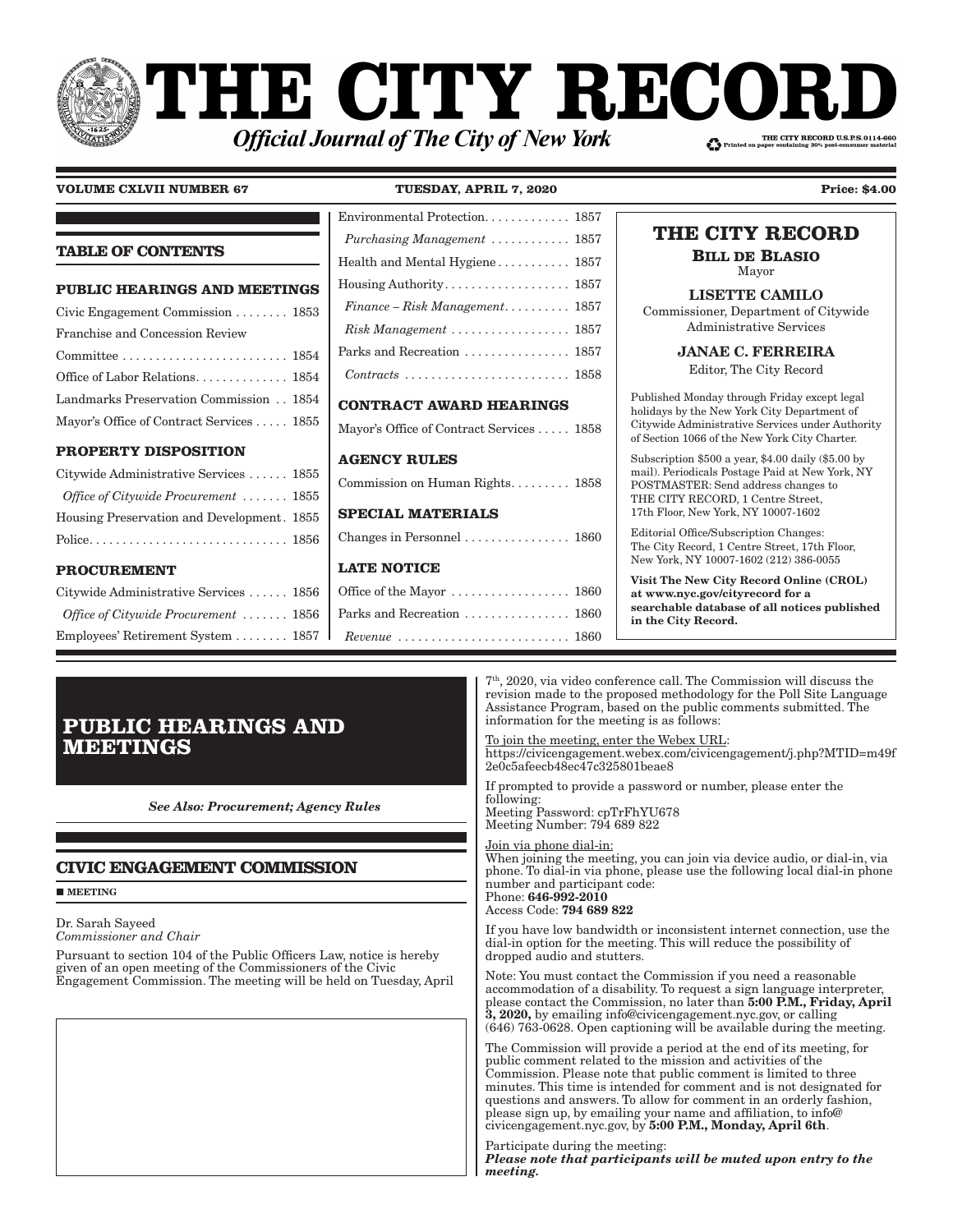### **THE CITY RECO!** THE CITY RECORD U.S.P.S.0114-660 **Official Journal of The City of New York**

#### **VOLUME CXLVII NUMBER 67 TUESDAY, APRIL 7, 2020 Price: \$4.00**

Environmental Protection. . . . . . . . . . . . . 1857

| <b>TABLE OF CONTENTS</b>                                | Purchasing Management $\ldots \ldots \ldots \ldots 1857$               | THE CITY RECORD                                                                                                                                  |
|---------------------------------------------------------|------------------------------------------------------------------------|--------------------------------------------------------------------------------------------------------------------------------------------------|
|                                                         | Health and Mental Hygiene 1857                                         | <b>BILL DE BLASIO</b><br>Mayor                                                                                                                   |
| <b>PUBLIC HEARINGS AND MEETINGS</b>                     |                                                                        | <b>LISETTE CAMILO</b>                                                                                                                            |
| Civic Engagement Commission $\ldots \ldots \ldots$ 1853 | $Finance - Risk Management \ldots \ldots \ldots 1857$                  | Commissioner, Department of Citywide                                                                                                             |
| Franchise and Concession Review                         | Risk Management  1857                                                  | <b>Administrative Services</b>                                                                                                                   |
|                                                         | Parks and Recreation  1857                                             | <b>JANAE C. FERREIRA</b>                                                                                                                         |
| Office of Labor Relations 1854                          | $Contracts \ldots \ldots \ldots \ldots \ldots \ldots \ldots 1858$      | Editor, The City Record                                                                                                                          |
| Landmarks Preservation Commission 1854                  | <b>CONTRACT AWARD HEARINGS</b>                                         | Published Monday through Friday except legal                                                                                                     |
| Mayor's Office of Contract Services  1855               | Mayor's Office of Contract Services  1858                              | holidays by the New York City Department of<br>Citywide Administrative Services under Authority<br>of Section 1066 of the New York City Charter. |
| <b>PROPERTY DISPOSITION</b>                             | <b>AGENCY RULES</b>                                                    | Subscription $$500$ a year, $$4.00$ daily $$5.00$ by                                                                                             |
| Citywide Administrative Services  1855                  | Commission on Human Rights 1858                                        | mail). Periodicals Postage Paid at New York, NY<br>POSTMASTER: Send address changes to                                                           |
| Office of Citywide Procurement  1855                    |                                                                        | THE CITY RECORD, 1 Centre Street,                                                                                                                |
| Housing Preservation and Development. 1855              | <b>SPECIAL MATERIALS</b>                                               | 17th Floor, New York, NY 10007-1602                                                                                                              |
|                                                         |                                                                        | Editorial Office/Subscription Changes:<br>The City Record, 1 Centre Street, 17th Floor,                                                          |
| <b>PROCUREMENT</b>                                      | <b>LATE NOTICE</b>                                                     | New York, NY 10007-1602 (212) 386-0055                                                                                                           |
| Citywide Administrative Services  1856                  |                                                                        | Visit The New City Record Online (CROL)<br>at www.nyc.gov/cityrecord for a                                                                       |
| Office of Citywide Procurement  1856                    | Parks and Recreation  1860                                             | searchable database of all notices published<br>in the City Record.                                                                              |
| Employees' Retirement System 1857                       | $Revenue \ldots \ldots \ldots \ldots \ldots \ldots \ldots \ldots 1860$ |                                                                                                                                                  |
|                                                         |                                                                        |                                                                                                                                                  |

**PUBLIC HEARINGS AND MEETINGS**

*See Also: Procurement; Agency Rules*

#### **CIVIC ENGAGEMENT COMMISSION**

**MEETING** 

Dr. Sarah Sayeed *Commissioner and Chair*

Pursuant to section 104 of the Public Officers Law, notice is hereby given of an open meeting of the Commissioners of the Civic Engagement Commission. The meeting will be held on Tuesday, April

7th, 2020, via video conference call. The Commission will discuss the revision made to the proposed methodology for the Poll Site Language Assistance Program, based on the public comments submitted. The information for the meeting is as follows:

To join the meeting, enter the Webex URL: https://civicengagement.webex.com/civicengagement/j.php?MTID=m49f 2e0c5afeecb48ec47c325801beae8

If prompted to provide a password or number, please enter the following: Meeting Password: cpTrFhYU678 Meeting Number: 794 689 822

Join via phone dial-in: When joining the meeting, you can join via device audio, or dial-in, via phone. To dial-in via phone, please use the following local dial-in phone

number and participant code: Phone: 646-992-2010 Access Code: 794 689 822

If you have low bandwidth or inconsistent internet connection, use the dial-in option for the meeting. This will reduce the possibility of dropped audio and stutters.

Note: You must contact the Commission if you need a reasonable accommodation of a disability. To request a sign language interpreter, please contact the Commission, no later than 5:00 P.M., Friday, April 3, 2020, by emailing info@civicengagement.nyc.gov, or calling (646) 763-0628. Open captioning will be available during the meeting.

The Commission will provide a period at the end of its meeting, for public comment related to the mission and activities of the Commission. Please note that public comment is limited to three minutes. This time is intended for comment and is not designated for questions and answers. To allow for comment in an orderly fashion, please sign up, by emailing your name and affiliation, to info@ civicengagement.nyc.gov, by 5:00 P.M., Monday, April 6th.

Participate during the meeting: *Please note that participants will be muted upon entry to the meeting.*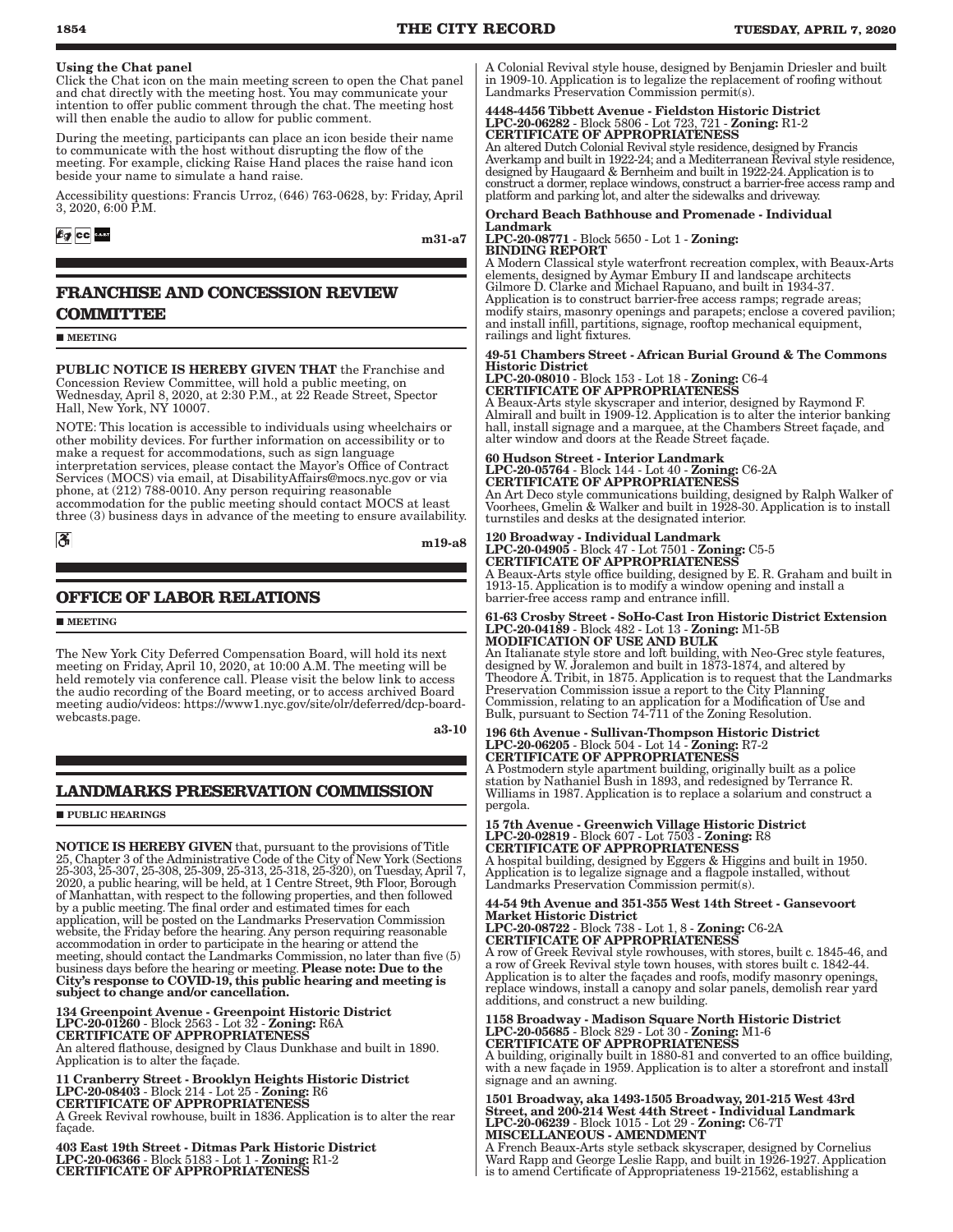#### Using the Chat panel

Click the Chat icon on the main meeting screen to open the Chat panel and chat directly with the meeting host. You may communicate your intention to offer public comment through the chat. The meeting host will then enable the audio to allow for public comment.

During the meeting, participants can place an icon beside their name to communicate with the host without disrupting the flow of the meeting. For example, clicking Raise Hand places the raise hand icon beside your name to simulate a hand raise.

Accessibility questions: Francis Urroz, (646) 763-0628, by: Friday, April 3, 2020, 6:00 P.M.

#### $69$  cc  $\frac{1}{2}$

m31-a7

#### **FRANCHISE AND CONCESSION REVIEW COMMITTEE**

**MEETING** 

PUBLIC NOTICE IS HEREBY GIVEN THAT the Franchise and Concession Review Committee, will hold a public meeting, on Concession Review Committee, will hold a public meeting, on Wednesday, April 8, 2020, at 2:30 P.M., at 22 Reade Street, Spector Hall, New York, NY 10007.

NOTE: This location is accessible to individuals using wheelchairs or other mobility devices. For further information on accessibility or to make a request for accommodations, such as sign language interpretation services, please contact the Mayor's Office of Contract Services (MOCS) via email, at DisabilityAffairs@mocs.nyc.gov or via phone, at (212) 788-0010. Any person requiring reasonable accommodation for the public meeting should contact MOCS at least three (3) business days in advance of the meeting to ensure availability.

 $|\mathcal{S}|$ 

m19-a8

#### **OFFICE OF LABOR RELATIONS**

**MEETING** 

The New York City Deferred Compensation Board, will hold its next meeting on Friday, April 10, 2020, at 10:00 A.M. The meeting will be held remotely via conference call. Please visit the below link to access the audio recording of the Board meeting, or to access archived Board meeting audio/videos: https://www1.nyc.gov/site/olr/deferred/dcp-boardwebcasts.page.

a3-10

#### **LANDMARKS PRESERVATION COMMISSION**

**PUBLIC HEARINGS** 

**NOTICE IS HEREBY GIVEN** that, pursuant to the provisions of Title 25, Chapter 3 of the Administrative Code of the City of New York (Sections 25-303, 25-307, 25-308, 25-309, 25-313, 25-318, 25-320), on Tuesday, April 7, 20 application, will be posted on the Landmarks Preservation Commission website, the Friday before the hearing. Any person requiring reasonable accommodation in order to participate in the hearing or attend the meeting, should contact the Landmarks Commission, no later than five (5) business days before the hearing or meeting. Please note: Due to the City's response to COVID-19, this public hearing and meeting is subject to change and/or cancellation.

# 134 Greenpoint Avenue - Greenpoint Historic District<br>LPC-20-01260 - Block 2563 - Lot 32 - Zoning: R6A<br>CERTIFICATE OF APPROPRIATENESS<br>An altered flathouse, designed by Claus Dunkhase and built in 1890.

Application is to alter the façade.

11 Cranberry Street - Brooklyn Heights Historic District LPC-20-08403 - Block 214 - Lot 25 - Zoning: R6 CERTIFICATE OF APPROPRIATENESS

A Greek Revival rowhouse, built in 1836. Application is to alter the rear façade.

403 East 19th Street - Ditmas Park Historic District LPC-20-06366 - Block 5183 - Lot 1 - Zoning: R1-2 CERTIFICATE OF APPROPRIATENESS

A Colonial Revival style house, designed by Benjamin Driesler and built in 1909-10. Application is to legalize the replacement of roofing without Landmarks Preservation Commission permit(s).

## 4448-4456 Tibbett Avenue - Fieldston Historic District LPC-20-06282 - Block 5806 - Lot 723, 721 - Zoning: R1-2 CERTIFICATE OF APPROPRIATENESS

An altered Dutch Colonial Revival style residence, designed by Francis Averkamp and built in 1922-24; and a Mediterranean Revival style residence, designed by Haugaard & Bernheim and built in 1922-24. Application is to construct a dormer, replace windows, construct a barrier-free access ramp and platform and parking lot, and alter the sidewalks and driveway.

#### Orchard Beach Bathhouse and Promenade - Individual Landmark

LPC-20-08771 - Block 5650 - Lot 1 - Zoning: BINDING REPORT

A Modern Classical style waterfront recreation complex, with Beaux-Arts elements, designed by Aymar Embury II and landscape architects Gilmore D. Clarke and Michael Rapuano, and built in 1934-37. Application is to construct barrier-free access ramps; regrade areas; modify stairs, masonry openings and parapets; enclose a covered pavilion; and install infill, partitions, signage, rooftop mechanical equipment, railings and light fixtures.

#### 49-51 Chambers Street - African Burial Ground & The Commons Historic District LPC-20-08010 - Block 153 - Lot 18 - Zoning: C6-4

CERTIFICATE OF APPROPRIATENESS A Beaux-Arts style skyscraper and interior, designed by Raymond F. Almirall and built in 1909-12. Application is to alter the interior banking hall, install signage and a marquee, at the Chambers Street façade, and alter window and doors at the Reade Street façade.

### 60 Hudson Street - Interior Landmark LPC-20-05764 - Block 144 - Lot 40 - Zoning: C6-2A CERTIFICATE OF APPROPRIATENESS

An Art Deco style communications building, designed by Ralph Walker of Voorhees, Gmelin & Walker and built in 1928-30. Application is to install turnstiles and desks at the designated interior.

120 Broadway - Individual Landmark LPC-20-04905 - Block 47 - Lot 7501 - Zoning: C5-5 CERTIFICATE OF APPROPRIATENESS

A Beaux-Arts style office building, designed by E. R. Graham and built in 1913-15. Application is to modify a window opening and install a barrier-free access ramp and entrance infill.

## 61-63 Crosby Street - SoHo-Cast Iron Historic District Extension LPC-20-04189 - Block 482 - Lot 13 - Zoning: M1-5B MODIFICATION OF USE AND BULK

An Italianate style store and loft building, with Neo-Grec style features, designed by W. Joralemon and built in 1873-1874, and altered by Theodore A. Tribit, in 1875. Application is to request that the Landmarks Preservation Commission issue a report to the City Planning Commission, relating to an application for a Modification of Use and Bulk, pursuant to Section 74-711 of the Zoning Resolution.

## 196 6th Avenue - Sullivan-Thompson Historic District LPC-20-06205 - Block 504 - Lot 14 - Zoning: R7-2 CERTIFICATE OF APPROPRIATENESS

A Postmodern style apartment building, originally built as a police station by Nathaniel Bush in 1893, and redesigned by Terrance R. Williams in 1987. Application is to replace a solarium and construct a pergola.

15 7th Avenue - Greenwich Village Historic District LPC-20-02819 - Block 607 - Lot 7503 - Zoning: R8 CERTIFICATE OF APPROPRIATENESS

A hospital building, designed by Eggers & Higgins and built in 1950. Application is to legalize signage and a flagpole installed, without Landmarks Preservation Commission permit(s).

44-54 9th Avenue and 351-355 West 14th Street - Gansevoort Market Historic District LPC-20-08722 - Block 738 - Lot 1, 8 - Zoning: C6-2A CERTIFICATE OF APPROPRIATENESS

A row of Greek Revival style rowhouses, with stores, built c. 1845-46, and a row of Greek Revival style town houses, with stores built c. 1842-44. Application is to alter the façades and roofs, modify masonry openings, replace windows, install a canopy and solar panels, demolish rear yard additions, and construct a new building.

1158 Broadway - Madison Square North Historic District LPC-20-05685 - Block 829 - Lot 30 - Zoning: M1-6 CERTIFICATE OF APPROPRIATENESS

A building, originally built in 1880-81 and converted to an office building, with a new façade in 1959. Application is to alter a storefront and install signage and an awning.

1501 Broadway, aka 1493-1505 Broadway, 201-215 West 43rd Street, and 200-214 West 44th Street - Individual Landmark LPC-20-06239 - Block 1015 - Lot 29 - Zoning: C6-7T MISCELLANEOUS - AMENDMENT

A French Beaux-Arts style setback skyscraper, designed by Cornelius Ward Rapp and George Leslie Rapp, and built in 1926-1927. Application is to amend Certificate of Appropriateness 19-21562, establishing a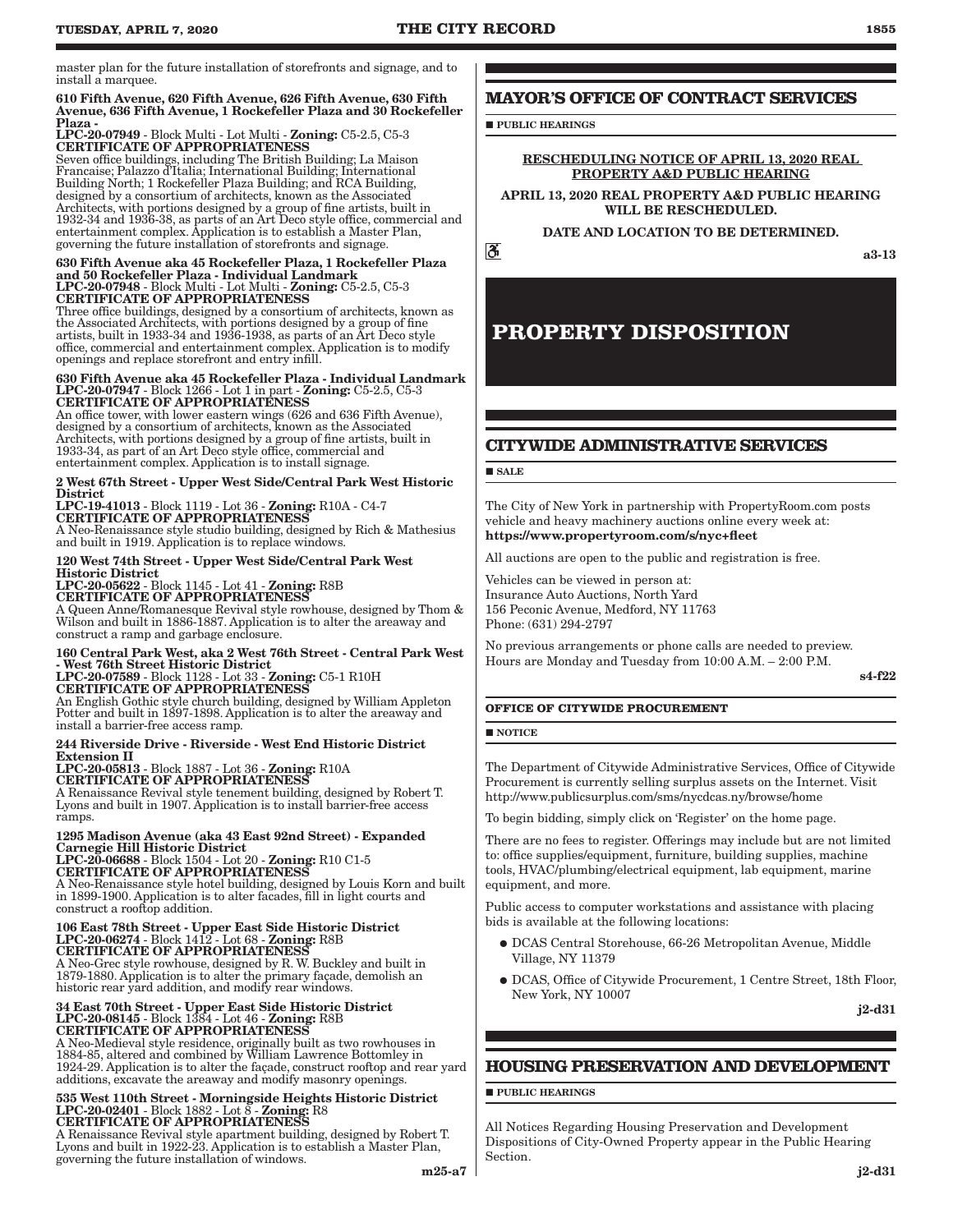master plan for the future installation of storefronts and signage, and to install a marquee.

#### 610 Fifth Avenue, 620 Fifth Avenue, 626 Fifth Avenue, 630 Fifth Avenue, 636 Fifth Avenue, 1 Rockefeller Plaza and 30 Rockefeller Plaza -

LPC-20-07949 - Block Multi - Lot Multi - Zoning: C5-2.5, C5-3 CERTIFICATE OF APPROPRIATENESS

Seven office buildings, including The British Building; La Maison Francaise; Palazzo d'Italia; International Building; International Building North; 1 Rockefeller Plaza Building; and RCA Building, designed by a consortium of architects, known as the Associated Architects, with portions designed by a group of fine artists, built in 1932-34 and 1936-38, as parts of an Art Deco style office, commercial and entertainment complex. Application is to establish a Master Plan, governing the future installation of storefronts and signage.

#### 630 Fifth Avenue aka 45 Rockefeller Plaza, 1 Rockefeller Plaza and 50 Rockefeller Plaza - Individual Landmark LPC-20-07948 - Block Multi - Lot Multi - Zoning: C5-2.5, C5-3 CERTIFICATE OF APPROPRIATENESS

Three office buildings, designed by a consortium of architects, known as the Associated Architects, with portions designed by a group of fine artists, built in 1933-34 and 1936-1938, as parts of an Art Deco style office, commercial and entertainment complex. Application is to modify openings and replace storefront and entry infill.

#### 630 Fifth Avenue aka 45 Rockefeller Plaza - Individual Landmark LPC-20-07947 - Block 1266 - Lot 1 in part - Zoning: C5-2.5, C5-3 CERTIFICATE OF APPROPRIATENESS

An office tower, with lower eastern wings (626 and 636 Fifth Avenue), designed by a consortium of architects, known as the Associated Architects, with portions designed by a group of fine artists, built in 1933-34, as part of an Art Deco style office, commercial and entertainment complex. Application is to install signage.

2 West 67th Street - Upper West Side/Central Park West Historic **District** 

LPC-19-41013 - Block 1119 - Lot 36 - Zoning: R10A - C4-7 CERTIFICATE OF APPROPRIATENESS

A Neo-Renaissance style studio building, designed by Rich & Mathesius and built in 1919. Application is to replace windows.

120 West 74th Street - Upper West Side/Central Park West Historic District

LPC-20-05622 - Block 1145 - Lot 41 - Zoning: R8B CERTIFICATE OF APPROPRIATENESS

A Queen Anne/Romanesque Revival style rowhouse, designed by Thom & Wilson and built in 1886-1887. Application is to alter the areaway and construct a ramp and garbage enclosure.

### 160 Central Park West, aka 2 West 76th Street - Central Park West - West 76th Street Historic District LPC-20-07589 - Block 1128 - Lot 33 - Zoning: C5-1 R10H CERTIFICATE OF APPROPRIATENESS

An English Gothic style church building, designed by William Appleton

Potter and built in 1897-1898. Application is to alter the areaway and install a barrier-free access ramp.

#### 244 Riverside Drive - Riverside - West End Historic District Extension II

LPC-20-05813 - Block 1887 - Lot 36 - Zoning: R10A CERTIFICATE OF APPROPRIATENESS

A Renaissance Revival style tenement building, designed by Robert T. Lyons and built in 1907. Application is to install barrier-free access ramps.

### 1295 Madison Avenue (aka 43 East 92nd Street) - Expanded

Carnegie Hill Historic District LPC-20-06688 - Block 1504 - Lot 20 - Zoning: R10 C1-5 CERTIFICATE OF APPROPRIATENESS

A Neo-Renaissance style hotel building, designed by Louis Korn and built in 1899-1900. Application is to alter facades, fill in light courts and construct a rooftop addition.

## 106 East 78th Street - Upper East Side Historic District LPC-20-06274 - Block 1412 - Lot 68 - Zoning: R8B CERTIFICATE OF APPROPRIATENESS

A Neo-Grec style rowhouse, designed by R. W. Buckley and built in 1879-1880. Application is to alter the primary façade, demolish an historic rear yard addition, and modify rear windows.

## 34 East 70th Street - Upper East Side Historic District LPC-20-08145 - Block 1384 - Lot 46 - Zoning: R8B CERTIFICATE OF APPROPRIATENESS

A Neo-Medieval style residence, originally built as two rowhouses in 1884-85, altered and combined by William Lawrence Bottomley in 1924-29. Application is to alter the façade, construct rooftop and rear yard additions, excavate the areaway and modify masonry openings.

## 535 West 110th Street - Morningside Heights Historic District LPC-20-02401 - Block 1882 - Lot 8 - Zoning: R8 CERTIFICATE OF APPROPRIATENESS

A Renaissance Revival style apartment building, designed by Robert T. Lyons and built in 1922-23. Application is to establish a Master Plan, governing the future installation of windows.

**PUBLIC HEARINGS** 

#### RESCHEDULING NOTICE OF APRIL 13, 2020 REAL PROPERTY A&D PUBLIC HEARING

APRIL 13, 2020 REAL PROPERTY A&D PUBLIC HEARING WILL BE RESCHEDULED.

#### DATE AND LOCATION TO BE DETERMINED.

ã.

a3-13

### **PROPERTY DISPOSITION**

### **CITYWIDE ADMINISTRATIVE SERVICES**

#### **SALE**

The City of New York in partnership with PropertyRoom.com posts vehicle and heavy machinery auctions online every week at: https://www.propertyroom.com/s/nyc+fleet

All auctions are open to the public and registration is free.

Vehicles can be viewed in person at: Insurance Auto Auctions, North Yard 156 Peconic Avenue, Medford, NY 11763 Phone: (631) 294-2797

No previous arrangements or phone calls are needed to preview. Hours are Monday and Tuesday from 10:00 A.M. – 2:00 P.M.

s4-f22

#### **OFFICE OF CITYWIDE PROCUREMENT**

**NOTICE** 

The Department of Citywide Administrative Services, Office of Citywide Procurement is currently selling surplus assets on the Internet. Visit http://www.publicsurplus.com/sms/nycdcas.ny/browse/home

To begin bidding, simply click on 'Register' on the home page.

There are no fees to register. Offerings may include but are not limited to: office supplies/equipment, furniture, building supplies, machine tools, HVAC/plumbing/electrical equipment, lab equipment, marine equipment, and more.

Public access to computer workstations and assistance with placing bids is available at the following locations:

- � DCAS Central Storehouse, 66-26 Metropolitan Avenue, Middle Village, NY 11379
- � DCAS, Office of Citywide Procurement, 1 Centre Street, 18th Floor, New York, NY 10007

j2-d31

#### **HOUSING PRESERVATION AND DEVELOPMENT**

**PUBLIC HEARINGS** 

All Notices Regarding Housing Preservation and Development Dispositions of City-Owned Property appear in the Public Hearing Section.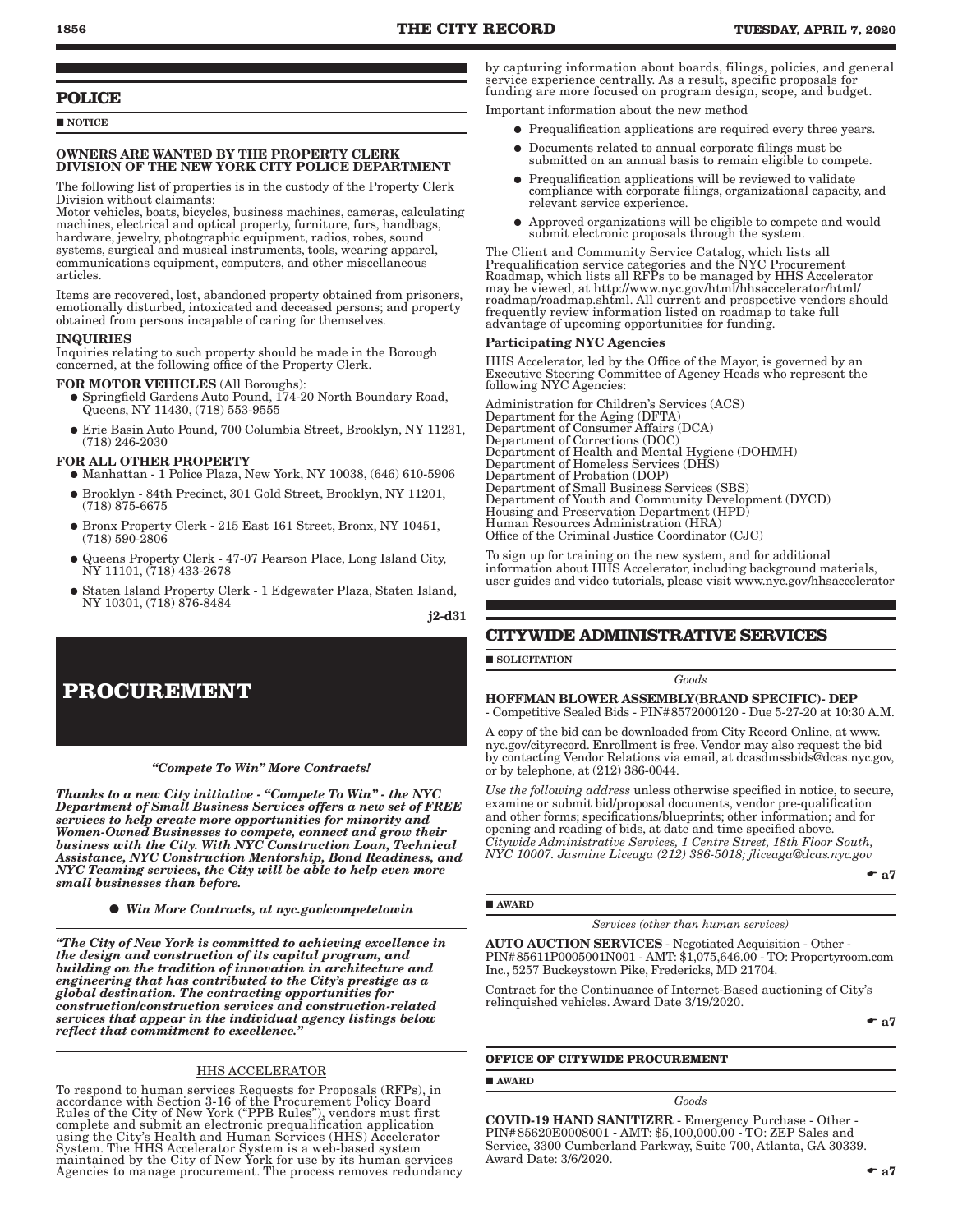#### **POLICE**

**NOTICE** 

#### OWNERS ARE WANTED BY THE PROPERTY CLERK DIVISION OF THE NEW YORK CITY POLICE DEPARTMENT

The following list of properties is in the custody of the Property Clerk Division without claimants:

Motor vehicles, boats, bicycles, business machines, cameras, calculating machines, electrical and optical property, furniture, furs, handbags, hardware, jewelry, photographic equipment, radios, robes, sound systems, surgical and musical instruments, tools, wearing apparel, communications equipment, computers, and other miscellaneous articles.

Items are recovered, lost, abandoned property obtained from prisoners, emotionally disturbed, intoxicated and deceased persons; and property obtained from persons incapable of caring for themselves.

#### INQUIRIES

Inquiries relating to such property should be made in the Borough concerned, at the following office of the Property Clerk.

#### FOR MOTOR VEHICLES (All Boroughs):

- � Springfield Gardens Auto Pound, 174-20 North Boundary Road, Queens, NY 11430, (718) 553-9555
- � Erie Basin Auto Pound, 700 Columbia Street, Brooklyn, NY 11231, (718) 246-2030

#### FOR ALL OTHER PROPERTY

- � Manhattan 1 Police Plaza, New York, NY 10038, (646) 610-5906
- � Brooklyn 84th Precinct, 301 Gold Street, Brooklyn, NY 11201, (718) 875-6675
- � Bronx Property Clerk 215 East 161 Street, Bronx, NY 10451, (718) 590-2806
- � Queens Property Clerk 47-07 Pearson Place, Long Island City, NY 11101, (718) 433-2678
- � Staten Island Property Clerk 1 Edgewater Plaza, Staten Island, NY 10301, (718) 876-8484

j2-d31

### **PROCUREMENT**

*"Compete To Win" More Contracts!* 

*Thanks to a new City initiative - "Compete To Win" - the NYC Department of Small Business Services offers a new set of FREE services to help create more opportunities for minority and Women-Owned Businesses to compete, connect and grow their business with the City. With NYC Construction Loan, Technical Assistance, NYC Construction Mentorship, Bond Readiness, and NYC Teaming services, the City will be able to help even more small businesses than before.*

*Win More Contracts, at nyc.gov/competetowin*

*"The City of New York is committed to achieving excellence in the design and construction of its capital program, and building on the tradition of innovation in architecture and engineering that has contributed to the City's prestige as a global destination. The contracting opportunities for construction/construction services and construction-related services that appear in the individual agency listings below reflect that commitment to excellence."*

#### HHS ACCELERATOR

To respond to human services Requests for Proposals (RFPs), in accordance with Section 3-16 of the Procurement Policy Board Rules of the City of New York ("PPB Rules"), vendors must first complete and submit an electronic prequalification application using the City's Health and Human Services (HHS) Accelerator System. The HHS Accelerator System is a web-based system maintained by the City of New York for use by its human services Agencies to manage procurement. The process removes redundancy by capturing information about boards, filings, policies, and general service experience centrally. As a result, specific proposals for funding are more focused on program design, scope, and budget.

Important information about the new method

- � Prequalification applications are required every three years.
- � Documents related to annual corporate filings must be submitted on an annual basis to remain eligible to compete.
- � Prequalification applications will be reviewed to validate compliance with corporate filings, organizational capacity, and relevant service experience.
- � Approved organizations will be eligible to compete and would submit electronic proposals through the system.

The Client and Community Service Catalog, which lists all<br>Prequalification service categories and the NYC Procurement<br>Roadmap, which lists all RFPs to be managed by HHS Accelerator<br>may be viewed, at http://www.nyc.gov/html frequently review information listed on roadmap to take full advantage of upcoming opportunities for funding.

#### articipating NYC Agencies

HHS Accelerator, led by the Office of the Mayor, is governed by an Executive Steering Committee of Agency Heads who represent the following NYC Agencies:

Administration for Children's Services (ACS) Department for the Aging (DFTA) Department of Consumer Affairs (DCA) Department of Corrections (DOC) Department of Health and Mental Hygiene (DOHMH) Department of Homeless Services (DHS) Department of Probation (DOP) Department of Small Business Services (SBS) Department of Youth and Community Development (DYCD) Housing and Preservation Department (HPD) Human Resources Administration (HRA) Office of the Criminal Justice Coordinator (CJC)

To sign up for training on the new system, and for additional information about HHS Accelerator, including background materials, user guides and video tutorials, please visit www.nyc.gov/hhsaccelerator

#### **CITYWIDE ADMINISTRATIVE SERVICES**

**SOLICITATION** 

*Goods*

HOFFMAN BLOWER ASSEMBLY(BRAND SPECIFIC)- DEP - Competitive Sealed Bids - PIN#8572000120 - Due 5-27-20 at 10:30 A.M.

A copy of the bid can be downloaded from City Record Online, at www. nyc.gov/cityrecord. Enrollment is free. Vendor may also request the bid by contacting Vendor Relations via email, at dcasdmssbids@dcas.nyc.gov, or by telephone, at (212) 386-0044.

*Use the following address* unless otherwise specified in notice, to secure, examine or submit bid/proposal documents, vendor pre-qualification and other forms; specifications/blueprints; other information; and for opening and reading of bids, at date and time specified above. *Citywide Administrative Services, 1 Centre Street, 18th Floor South, NYC 10007. Jasmine Liceaga (212) 386-5018; jliceaga@dcas.nyc.gov*

 $\bullet$  a7

#### **AWARD**

*Services (other than human services)*

AUTO AUCTION SERVICES - Negotiated Acquisition - Other - PIN#85611P0005001N001 - AMT: \$1,075,646.00 - TO: Propertyroom.com Inc., 5257 Buckeystown Pike, Fredericks, MD 21704.

Contract for the Continuance of Internet-Based auctioning of City's relinquished vehicles. Award Date 3/19/2020.

 $\bullet$  a7

#### **OFFICE OF CITYWIDE PROCUREMENT**

#### AWARD

COVID-19 HAND SANITIZER - Emergency Purchase - Other - PIN#85620E0008001 - AMT: \$5,100,000.00 - TO: ZEP Sales and Service, 3300 Cumberland Parkway, Suite 700, Atlanta, GA 30339. Award Date: 3/6/2020.

*Goods*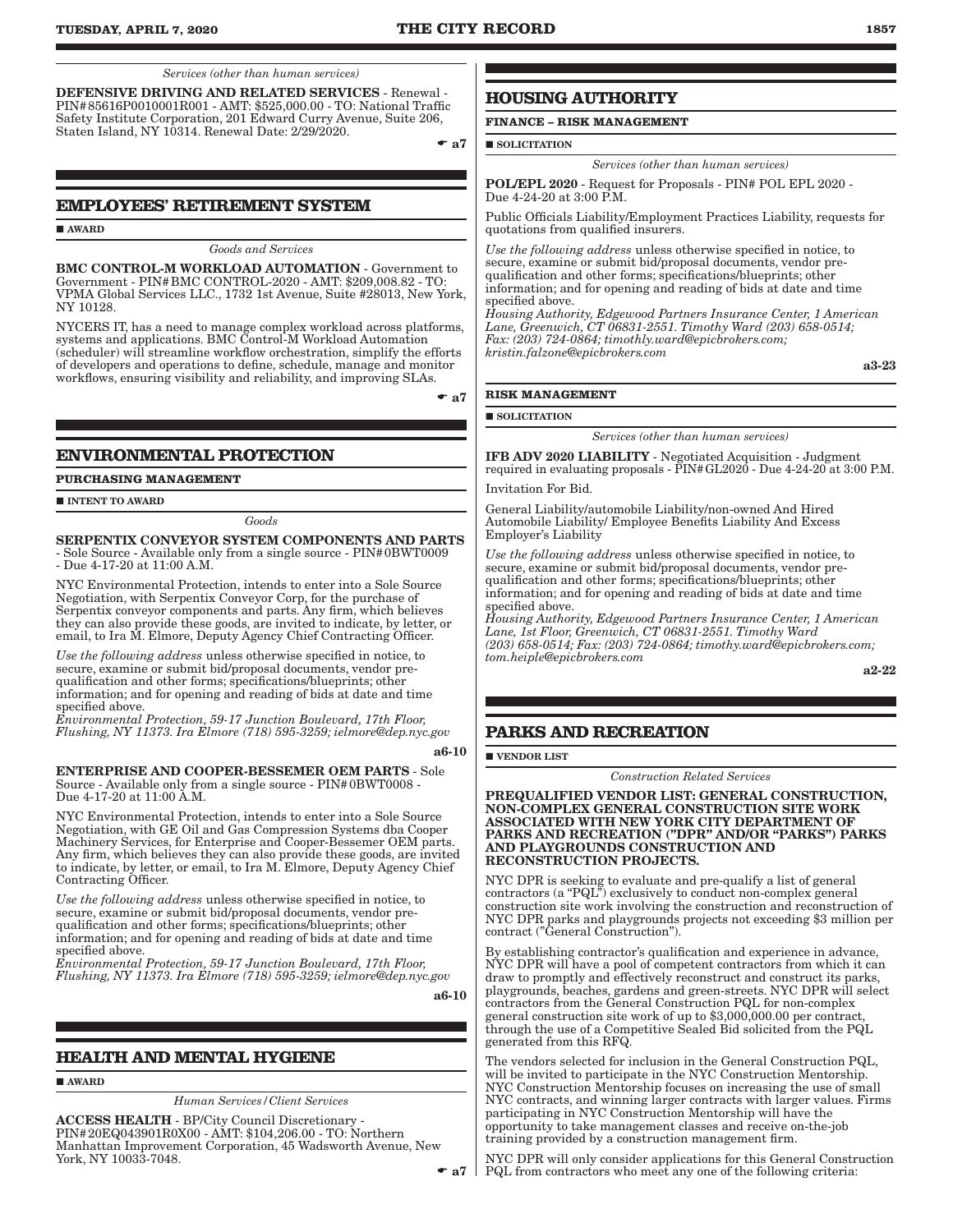*Services (other than human services)*

DEFENSIVE DRIVING AND RELATED SERVICES - Renewal - PIN#85616P0010001R001 - AMT: \$525,000.00 - TO: National Traffic Safety Institute Corporation, 201 Edward Curry Avenue, Suite 206, Staten Island, NY 10314. Renewal Date: 2/29/2020.

 $\bullet$  a7

#### **EMPLOYEES' RETIREMENT SYSTEM**

AWARD

#### *Goods and Services*

BMC CONTROL-M WORKLOAD AUTOMATION - Government to Government - PIN#BMC CONTROL-2020 - AMT: \$209,008.82 - TO: VPMA Global Services LLC., 1732 1st Avenue, Suite #28013, New York, NY 10128.

NYCERS IT, has a need to manage complex workload across platforms, systems and applications. BMC Control-M Workload Automation (scheduler) will streamline workflow orchestration, simplify the efforts of developers and operations to define, schedule, manage and monitor workflows, ensuring visibility and reliability, and improving SLAs.

 $\bullet$  a7

#### **ENVIRONMENTAL PROTECTION**

#### **PURCHASING MANAGEMENT**

 $\blacksquare$  INTENT TO AWARD

*Goods*

#### SERPENTIX CONVEYOR SYSTEM COMPONENTS AND PARTS - Sole Source - Available only from a single source - PIN#0BWT0009 - Due 4-17-20 at 11:00 A.M.

NYC Environmental Protection, intends to enter into a Sole Source Negotiation, with Serpentix Conveyor Corp, for the purchase of Serpentix conveyor components and parts. Any firm, which believes they can also provide these goods, are invited to indicate, by letter, or email, to Ira M. Elmore, Deputy Agency Chief Contracting Officer.

*Use the following address* unless otherwise specified in notice, to secure, examine or submit bid/proposal documents, vendor prequalification and other forms; specifications/blueprints; other information; and for opening and reading of bids at date and time specified above.

*Environmental Protection, 59-17 Junction Boulevard, 17th Floor, Flushing, NY 11373. Ira Elmore (718) 595-3259; ielmore@dep.nyc.gov*

#### a6-10

ENTERPRISE AND COOPER-BESSEMER OEM PARTS - Sole Source - Available only from a single source - PIN#0BWT0008 - Due 4-17-20 at 11:00 A.M.

NYC Environmental Protection, intends to enter into a Sole Source Negotiation, with GE Oil and Gas Compression Systems dba Cooper Machinery Services, for Enterprise and Cooper-Bessemer OEM parts. Any firm, which believes they can also provide these goods, are invited to indicate, by letter, or email, to Ira M. Elmore, Deputy Agency Chief Contracting Officer.

*Use the following address* unless otherwise specified in notice, to secure, examine or submit bid/proposal documents, vendor prequalification and other forms; specifications/blueprints; other information; and for opening and reading of bids at date and time specified above.

*Environmental Protection, 59-17 Junction Boulevard, 17th Floor, Flushing, NY 11373. Ira Elmore (718) 595-3259; ielmore@dep.nyc.gov*

a6-10

#### **HEALTH AND MENTAL HYGIENE**

#### **AWARD**

*Human Services/Client Services*

ACCESS HEALTH - BP/City Council Discretionary - PIN#20EQ043901R0X00 - AMT: \$104,206.00 - TO: Northern Manhattan Improvement Corporation, 45 Wadsworth Avenue, New York, NY 10033-7048.

#### **HOUSING AUTHORITY**

**FINANCE – RISK MANAGEMENT**

**SOLICITATION** 

#### *Services (other than human services)*

POL/EPL 2020 - Request for Proposals - PIN# POL EPL 2020 - Due 4-24-20 at 3:00 P.M.

Public Officials Liability/Employment Practices Liability, requests for quotations from qualified insurers.

*Use the following address* unless otherwise specified in notice, to secure, examine or submit bid/proposal documents, vendor prequalification and other forms; specifications/blueprints; other information; and for opening and reading of bids at date and time specified above.

*Housing Authority, Edgewood Partners Insurance Center, 1 American Lane, Greenwich, CT 06831-2551. Timothy Ward (203) 658-0514; Fax: (203) 724-0864; timothly.ward@epicbrokers.com; kristin.falzone@epicbrokers.com*

a3-23

#### **RISK MANAGEMENT**

SOLICITATION

*Services (other than human services)*

IFB ADV 2020 LIABILITY - Negotiated Acquisition - Judgment required in evaluating proposals - PIN#GL2020 - Due 4-24-20 at 3:00 P.M.

Invitation For Bid.

General Liability/automobile Liability/non-owned And Hired Automobile Liability/ Employee Benefits Liability And Excess Employer's Liability

*Use the following address* unless otherwise specified in notice, to secure, examine or submit bid/proposal documents, vendor prequalification and other forms; specifications/blueprints; other information; and for opening and reading of bids at date and time specified above.

*Housing Authority, Edgewood Partners Insurance Center, 1 American Lane, 1st Floor, Greenwich, CT 06831-2551. Timothy Ward (203) 658-0514; Fax: (203) 724-0864; timothy.ward@epicbrokers.com; tom.heiple@epicbrokers.com*

a2-22

#### **PARKS AND RECREATION**

#### **VENDOR LIST**

*Construction Related Services*

PREQUALIFIED VENDOR LIST: GENERAL CONSTRUCTION, NON-COMPLEX GENERAL CONSTRUCTION SITE WORK ASSOCIATED WITH NEW YORK CITY DEPARTMENT OF PARKS AND RECREATION ("DPR" AND/OR "PARKS") PARKS AND PLAYGROUNDS CONSTRUCTION AND RECONSTRUCTION PROJECTS.

NYC DPR is seeking to evaluate and pre-qualify a list of general contractors (a "PQL") exclusively to conduct non-complex general construction site work involving the construction and reconstruction of NYC DPR parks and playgrounds projects not exceeding \$3 million per contract ("General Construction").

By establishing contractor's qualification and experience in advance, NYC DPR will have a pool of competent contractors from which it can draw to promptly and effectively reconstruct and construct its parks, playgrounds, beaches, gardens and green-streets. NYC DPR will select contractors from the General Construction PQL for non-complex general construction site work of up to \$3,000,000.00 per contract, through the use of a Competitive Sealed Bid solicited from the PQL generated from this RFQ.

The vendors selected for inclusion in the General Construction PQL, will be invited to participate in the NYC Construction Mentorship. NYC Construction Mentorship focuses on increasing the use of small NYC contracts, and winning larger contracts with larger values. Firms participating in NYC Construction Mentorship will have the opportunity to take management classes and receive on-the-job training provided by a construction management firm.

 $\bullet$  a7 | PQL from contractors who meet any one of the following criteria: NYC DPR will only consider applications for this General Construction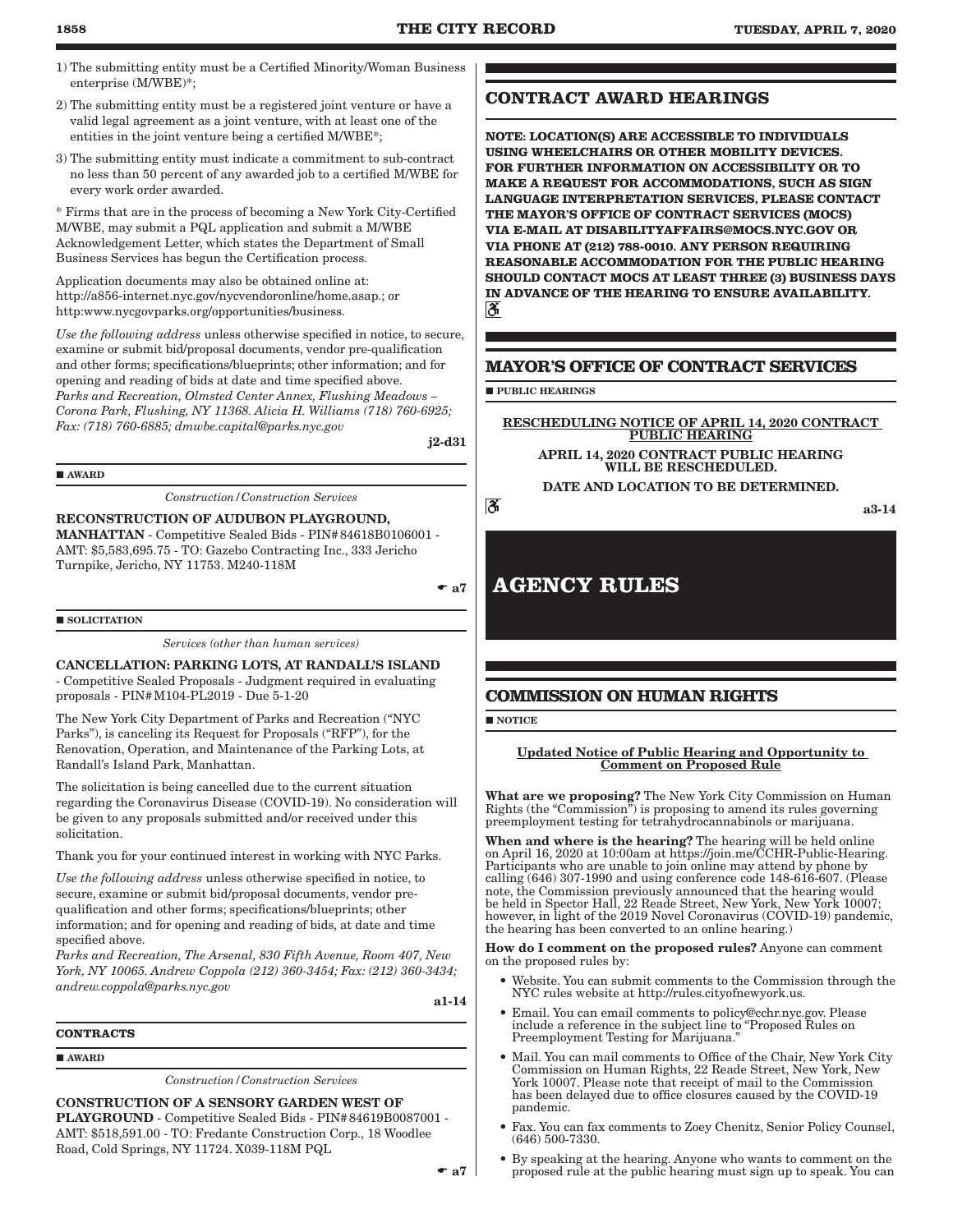- 1) The submitting entity must be a Certified Minority/Woman Business enterprise (M/WBE)\*;
- 2) The submitting entity must be a registered joint venture or have a valid legal agreement as a joint venture, with at least one of the entities in the joint venture being a certified M/WBE\*;
- 3) The submitting entity must indicate a commitment to sub-contract no less than 50 percent of any awarded job to a certified M/WBE for every work order awarded.

\* Firms that are in the process of becoming a New York City-Certified M/WBE, may submit a PQL application and submit a M/WBE Acknowledgement Letter, which states the Department of Small Business Services has begun the Certification process.

Application documents may also be obtained online at: http://a856-internet.nyc.gov/nycvendoronline/home.asap.; or http:www.nycgovparks.org/opportunities/business.

*Use the following address* unless otherwise specified in notice, to secure, examine or submit bid/proposal documents, vendor pre-qualification and other forms; specifications/blueprints; other information; and for opening and reading of bids at date and time specified above. *Parks and Recreation, Olmsted Center Annex, Flushing Meadows – Corona Park, Flushing, NY 11368. Alicia H. Williams (718) 760-6925; Fax: (718) 760-6885; dmwbe.capital@parks.nyc.gov*

j2-d31

**AWARD** 

*Construction/Construction Services*

RECONSTRUCTION OF AUDUBON PLAYGROUND, MANHATTAN - Competitive Sealed Bids - PIN#84618B0106001 - AMT: \$5,583,695.75 - TO: Gazebo Contracting Inc., 333 Jericho Turnpike, Jericho, NY 11753. M240-118M

 $\bullet$  a7

 $\overline{\mathcal{E}}$ 

#### **SOLICITATION**

*Services (other than human services)*

CANCELLATION: PARKING LOTS, AT RANDALL'S ISLAND - Competitive Sealed Proposals - Judgment required in evaluating proposals - PIN#M104-PL2019 - Due 5-1-20

The New York City Department of Parks and Recreation ("NYC Parks"), is canceling its Request for Proposals ("RFP"), for the Renovation, Operation, and Maintenance of the Parking Lots, at Randall's Island Park, Manhattan.

The solicitation is being cancelled due to the current situation regarding the Coronavirus Disease (COVID-19). No consideration will be given to any proposals submitted and/or received under this solicitation.

Thank you for your continued interest in working with NYC Parks.

*Use the following address* unless otherwise specified in notice, to secure, examine or submit bid/proposal documents, vendor prequalification and other forms; specifications/blueprints; other information; and for opening and reading of bids, at date and time specified above.

*Parks and Recreation, The Arsenal, 830 Fifth Avenue, Room 407, New York, NY 10065. Andrew Coppola (212) 360-3454; Fax: (212) 360-3434; andrew.coppola@parks.nyc.gov*

a1-14

#### **CONTRACTS**

**AWARD** 

*Construction/Construction Services*

CONSTRUCTION OF A SENSORY GARDEN WEST OF PLAYGROUND - Competitive Sealed Bids - PIN#84619B0087001 - AMT: \$518,591.00 - TO: Fredante Construction Corp., 18 Woodlee Road, Cold Springs, NY 11724. X039-118M PQL

#### **CONTRACT AWARD HEARINGS**

**NOTE: LOCATION(S) ARE ACCESSIBLE TO INDIVIDUALS USING WHEELCHAIRS OR OTHER MOBILITY DEVICES. FOR FURTHER INFORMATION ON ACCESSIBILITY OR TO MAKE A REQUEST FOR ACCOMMODATIONS, SUCH AS SIGN LANGUAGE INTERPRETATION SERVICES, PLEASE CONTACT THE MAYOR'S OFFICE OF CONTRACT SERVICES (MOCS) VIA E-MAIL AT DISABILITYAFFAIRS@MOCS.NYC.GOV OR VIA PHONE AT (212) 788-0010. ANY PERSON REQUIRING REASONABLE ACCOMMODATION FOR THE PUBLIC HEARING SHOULD CONTACT MOCS AT LEAST THREE (3) BUSINESS DAYS IN ADVANCE OF THE HEARING TO ENSURE AVAILABILITY.**  $\overline{\mathbf{c}}$ 

#### **MAYOR'S OFFICE OF CONTRACT SERVICES**

#### **PUBLIC HEARINGS**

RESCHEDULING NOTICE OF APRIL 14, 2020 CONTRACT PUBLIC HEARING

APRIL 14, 2020 CONTRACT PUBLIC HEARING WILL BE RESCHEDULED. DATE AND LOCATION TO BE DETERMINED.

a3-14

### **AGENCY RULES**

#### **COMMISSION ON HUMAN RIGHTS**

**NOTICE** 

Updated Notice of Public Hearing and Opportunity to Comment on Proposed Rule

What are we proposing? The New York City Commission on Human Rights (the "Commission") is proposing to amend its rules governing preemployment testing for tetrahydrocannabinols or marijuana.

When and where is the hearing? The hearing will be held online on April 16, 2020 at 10:00am at https://join.me/CCHR-Public-Hearing. Participants who are unable to join online may attend by phone by calling (646) 307-1990 and using conference code 148-616-607. (Please note, the Commission previously announced that the hearing would be held in Spector Hall, 22 Reade Street, New York, New York 10007; however, in light of the 2019 Novel Coronavirus (COVID-19) pandemic, the hearing has been converted to an online hearing.)

How do I comment on the proposed rules? Anyone can comment on the proposed rules by:

- Website. You can submit comments to the Commission through the NYC rules website at http://rules.cityofnewyork.us.
- Email. You can email comments to policy@cchr.nyc.gov. Please include a reference in the subject line to "Proposed Rules on Preemployment Testing for Marijuana."
- Mail. You can mail comments to Office of the Chair, New York City Commission on Human Rights, 22 Reade Street, New York, New York 10007. Please note that receipt of mail to the Commission has been delayed due to office closures caused by the COVID-19 pandemic.
- Fax. You can fax comments to Zoey Chenitz, Senior Policy Counsel, (646) 500-7330.
- By speaking at the hearing. Anyone who wants to comment on the proposed rule at the public hearing must sign up to speak. You can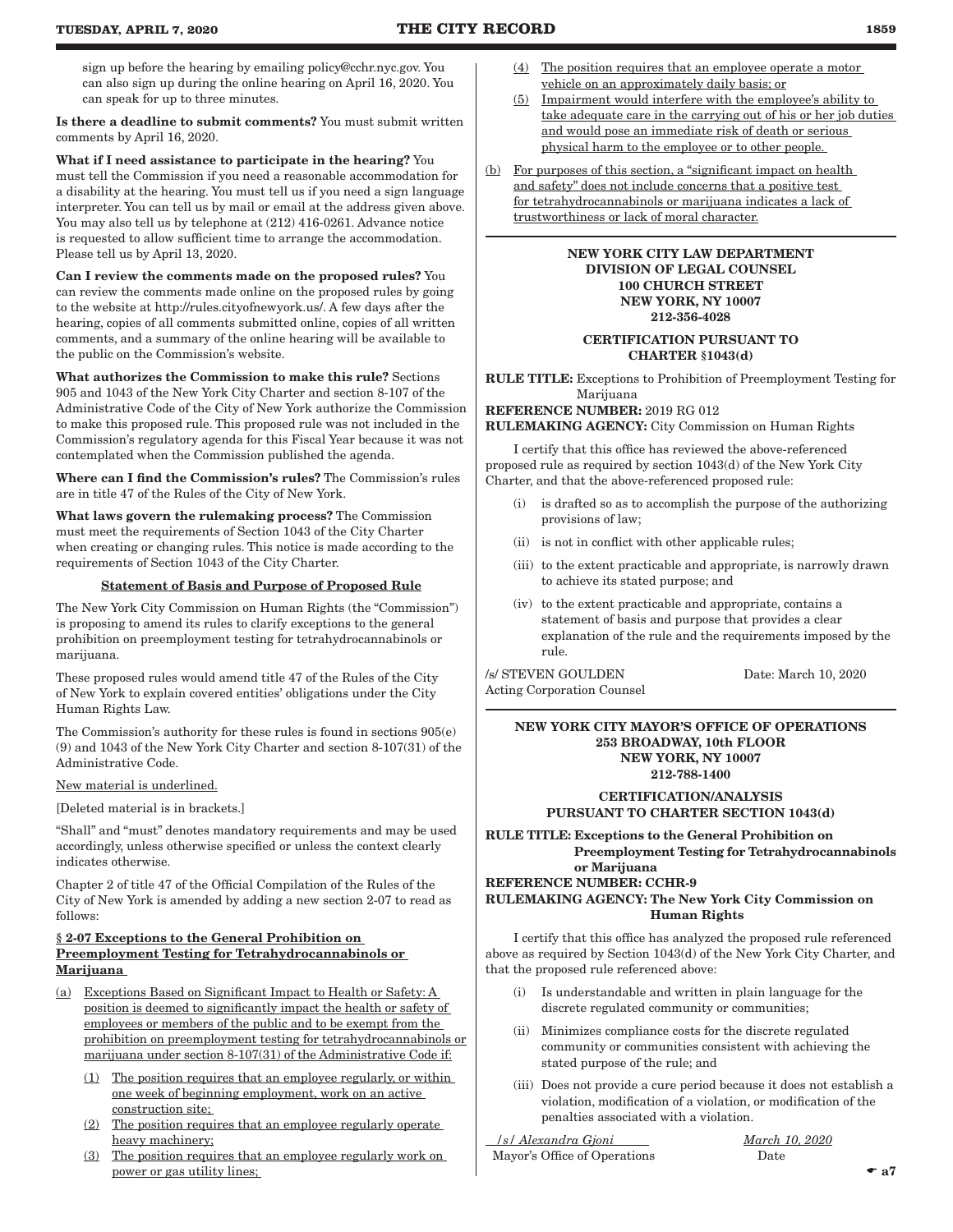sign up before the hearing by emailing policy@cchr.nyc.gov. You can also sign up during the online hearing on April 16, 2020. You can speak for up to three minutes.

Is there a deadline to submit comments? You must submit written comments by April 16, 2020.

What if I need assistance to participate in the hearing? You must tell the Commission if you need a reasonable accommodation for a disability at the hearing. You must tell us if you need a sign language interpreter. You can tell us by mail or email at the address given above. You may also tell us by telephone at (212) 416-0261. Advance notice is requested to allow sufficient time to arrange the accommodation. Please tell us by April 13, 2020.

Can I review the comments made on the proposed rules? You can review the comments made online on the proposed rules by going to the website at http://rules.cityofnewyork.us/. A few days after the hearing, copies of all comments submitted online, copies of all written comments, and a summary of the online hearing will be available to the public on the Commission's website.

What authorizes the Commission to make this rule? Sections 905 and 1043 of the New York City Charter and section 8-107 of the Administrative Code of the City of New York authorize the Commission to make this proposed rule. This proposed rule was not included in the Commission's regulatory agenda for this Fiscal Year because it was not contemplated when the Commission published the agenda.

Where can I find the Commission's rules? The Commission's rules are in title 47 of the Rules of the City of New York.

What laws govern the rulemaking process? The Commission must meet the requirements of Section 1043 of the City Charter when creating or changing rules. This notice is made according to the requirements of Section 1043 of the City Charter.

#### Statement of Basis and Purpose of Proposed Rule

The New York City Commission on Human Rights (the "Commission") is proposing to amend its rules to clarify exceptions to the general prohibition on preemployment testing for tetrahydrocannabinols or marijuana.

These proposed rules would amend title 47 of the Rules of the City of New York to explain covered entities' obligations under the City Human Rights Law.

The Commission's authority for these rules is found in sections 905(e) (9) and 1043 of the New York City Charter and section 8-107(31) of the Administrative Code.

New material is underlined.

[Deleted material is in brackets.]

"Shall" and "must" denotes mandatory requirements and may be used accordingly, unless otherwise specified or unless the context clearly indicates otherwise.

Chapter 2 of title 47 of the Official Compilation of the Rules of the City of New York is amended by adding a new section 2-07 to read as follows:

#### § 2-07 Exceptions to the General Prohibition on Preemployment Testing for Tetrahydrocannabinols or **Marijuana**

- (a) Exceptions Based on Significant Impact to Health or Safety: A position is deemed to significantly impact the health or safety of employees or members of the public and to be exempt from the prohibition on preemployment testing for tetrahydrocannabinols or marijuana under section 8-107(31) of the Administrative Code if:
	- (1) The position requires that an employee regularly, or within one week of beginning employment, work on an active construction site;
	- (2) The position requires that an employee regularly operate heavy machinery;
	- (3) The position requires that an employee regularly work on power or gas utility lines;
- (4) The position requires that an employee operate a motor vehicle on an approximately daily basis; or
- (5) Impairment would interfere with the employee's ability to take adequate care in the carrying out of his or her job duties and would pose an immediate risk of death or serious physical harm to the employee or to other people.
- (b) For purposes of this section, a "significant impact on health and safety" does not include concerns that a positive test for tetrahydrocannabinols or marijuana indicates a lack of trustworthiness or lack of moral character.

#### NEW YORK CITY LAW DEPARTMENT DIVISION OF LEGAL COUNSEL 100 CHURCH STREET NEW YORK, NY 10007 212-356-4028

#### CERTIFICATION PURSUANT TO CHARTER §1043(d)

RULE TITLE: Exceptions to Prohibition of Preemployment Testing for Marijuana

REFERENCE NUMBER: 2019 RG 012

RULEMAKING AGENCY: City Commission on Human Rights

I certify that this office has reviewed the above-referenced proposed rule as required by section 1043(d) of the New York City Charter, and that the above-referenced proposed rule:

- is drafted so as to accomplish the purpose of the authorizing provisions of law;
- (ii) is not in conflict with other applicable rules;
- (iii) to the extent practicable and appropriate, is narrowly drawn to achieve its stated purpose; and
- (iv) to the extent practicable and appropriate, contains a statement of basis and purpose that provides a clear explanation of the rule and the requirements imposed by the rule.

/s/ STEVEN GOULDEN Date: March 10, 2020 Acting Corporation Counsel

#### NEW YORK CITY MAYOR'S OFFICE OF OPERATIONS 253 BROADWAY, 10th FLOOR NEW YORK, NY 10007 212-788-1400

#### CERTIFICATION/ANALYSIS PURSUANT TO CHARTER SECTION 1043(d)

RULE TITLE: Exceptions to the General Prohibition on Preemployment Testing for Tetrahydrocannabinols or Marijuana

#### REFERENCE NUMBER: CCHR-9 RULEMAKING AGENCY: The New York City Commission on Human Rights

I certify that this office has analyzed the proposed rule referenced above as required by Section 1043(d) of the New York City Charter, and that the proposed rule referenced above:

- (i) Is understandable and written in plain language for the discrete regulated community or communities;
- (ii) Minimizes compliance costs for the discrete regulated community or communities consistent with achieving the stated purpose of the rule; and
- (iii) Does not provide a cure period because it does not establish a violation, modification of a violation, or modification of the penalties associated with a violation.

 */s/ Alexandra Gjoni March 10, 2020* Mayor's Office of Operations Date